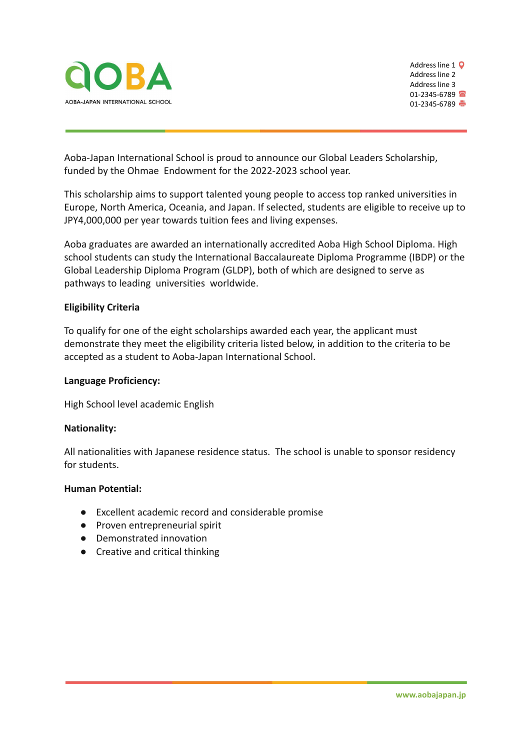



Aoba-Japan International School is proud to announce our Global Leaders Scholarship, funded by the Ohmae Endowment for the 2022-2023 school year.

This scholarship aims to support talented young people to access top ranked universities in Europe, North America, Oceania, and Japan. If selected, students are eligible to receive up to JPY4,000,000 per year towards tuition fees and living expenses.

Aoba graduates are awarded an internationally accredited Aoba High School Diploma. High school students can study the International Baccalaureate Diploma Programme (IBDP) or the Global Leadership Diploma Program (GLDP), both of which are designed to serve as pathways to leading universities worldwide.

# **Eligibility Criteria**

To qualify for one of the eight scholarships awarded each year, the applicant must demonstrate they meet the eligibility criteria listed below, in addition to the criteria to be accepted as a student to Aoba-Japan International School.

# **Language Proficiency:**

High School level academic English

# **Nationality:**

All nationalities with Japanese residence status. The school is unable to sponsor residency for students.

# **Human Potential:**

- Excellent academic record and considerable promise
- Proven entrepreneurial spirit
- Demonstrated innovation
- Creative and critical thinking